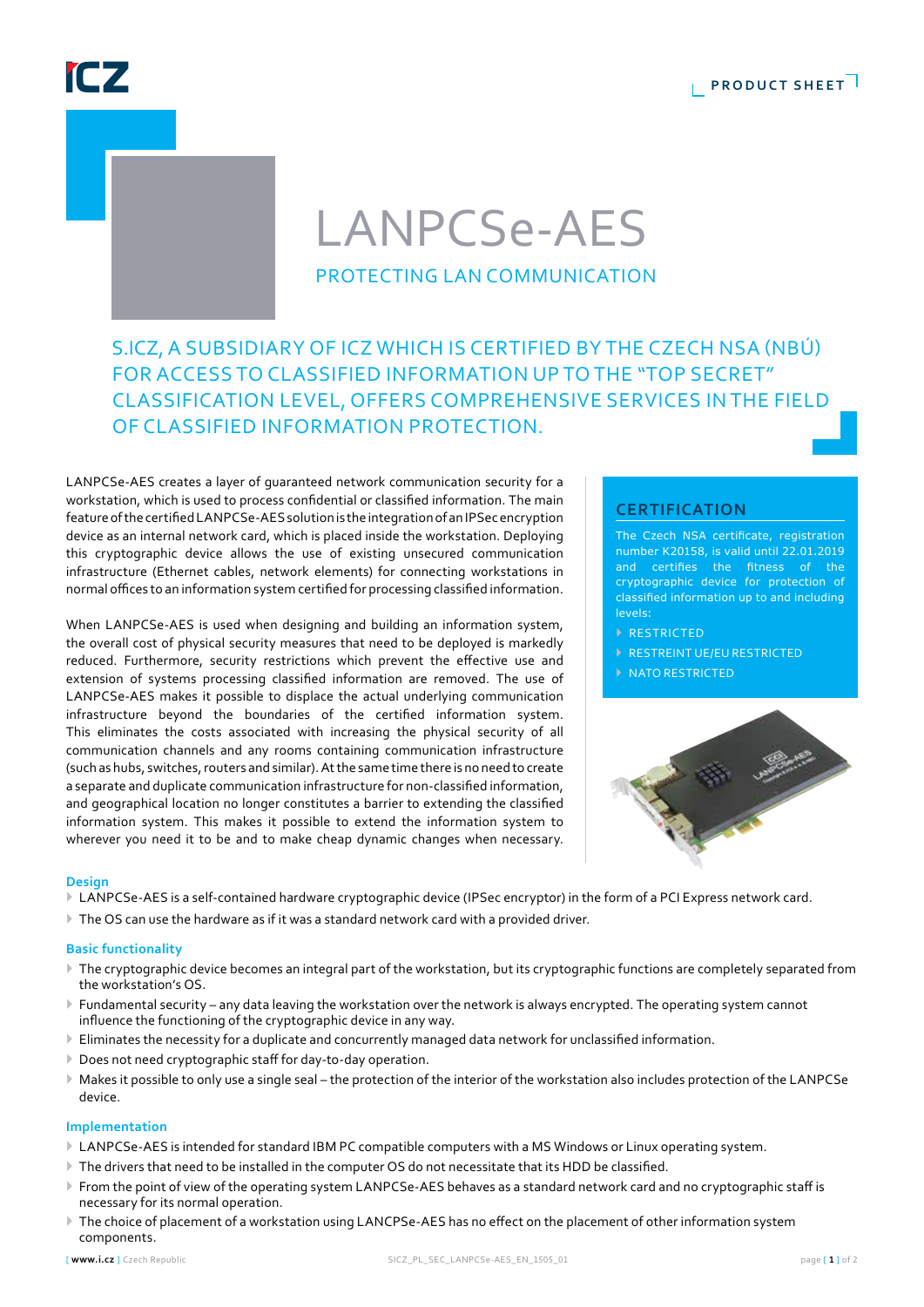**PRODUCT SHEET** 

## IC<sub>7</sub>

# LANPCSe-AES

### protecting LAN communication

### S.ICZ, a subsidiary of ICZ which is certified by the Czech NSA (NBÚ) for access to classified information up to the "Top Secret" classification level, offers comprehensive services inthe field of classified information protection.

LANPCSe-AES creates a layer of guaranteed network communication security for a workstation, which is used to process confidential or classified information. The main feature of the certified LANPCSe-AES solution is the integration of an IPSec encryption device as an internal network card, which is placed inside the workstation. Deploying this cryptographic device allows the use of existing unsecured communication infrastructure (Ethernet cables, network elements) for connecting workstations in normal offices to an information system certified for processing classified information.

When LANPCSe-AES is used when designing and building an information system, the overall cost of physical security measures that need to be deployed is markedly reduced. Furthermore, security restrictions which prevent the effective use and extension of systems processing classified information are removed. The use of LANPCSe-AES makes it possible to displace the actual underlying communication infrastructure beyond the boundaries of the certified information system. This eliminates the costs associated with increasing the physical security of all communication channels and any rooms containing communication infrastructure (such as hubs, switches, routers and similar). At the same time there is no need to create a separate and duplicate communication infrastructure for non-classified information, and geographical location no longer constitutes a barrier to extending the classified information system. This makes it possible to extend the information system to wherever you need it to be and to make cheap dynamic changes when necessary.

### **certification**

The Czech NSA certificate, registration number K20158, is valid until 22.01.2019 and certifies the fitness of the cryptographic device for protection of classified information up to and including levels:

- **EXECUTED**
- ` RESTREINT UE/EU RESTRICTED
- ` NATO RESTRICTED



### **Design**

- ` LANPCSe-AES is a self-contained hardware cryptographic device (IPSec encryptor) in the form of a PCI Express network card.
- ` The OS can use the hardware as if it was a standard network card with a provided driver.

### **Basic functionality**

- ` The cryptographic device becomes an integral part of the workstation, but its cryptographic functions are completely separated from the workstation's OS.
- ` Fundamental security any data leaving the workstation over the network is always encrypted. The operating system cannot influence the functioning of the cryptographic device in any way.
- ` Eliminates the necessity for a duplicate and concurrently managed data network for unclassified information.
- $\blacktriangleright$  Does not need cryptographic staff for day-to-day operation.
- ` Makes it possible to only use a single seal the protection of the interior of the workstation also includes protection of the LANPCSe device.

### **Implementation**

- ` LANPCSe-AES is intended for standard IBM PC compatible computers with a MS Windows or Linux operating system.
- $\triangleright$  The drivers that need to be installed in the computer OS do not necessitate that its HDD be classified.
- ` From the point of view of the operating system LANPCSe-AES behaves as a standard network card and no cryptographic staff is necessary for its normal operation.
- The choice of placement of a workstation using LANCPSe-AES has no effect on the placement of other information system components.